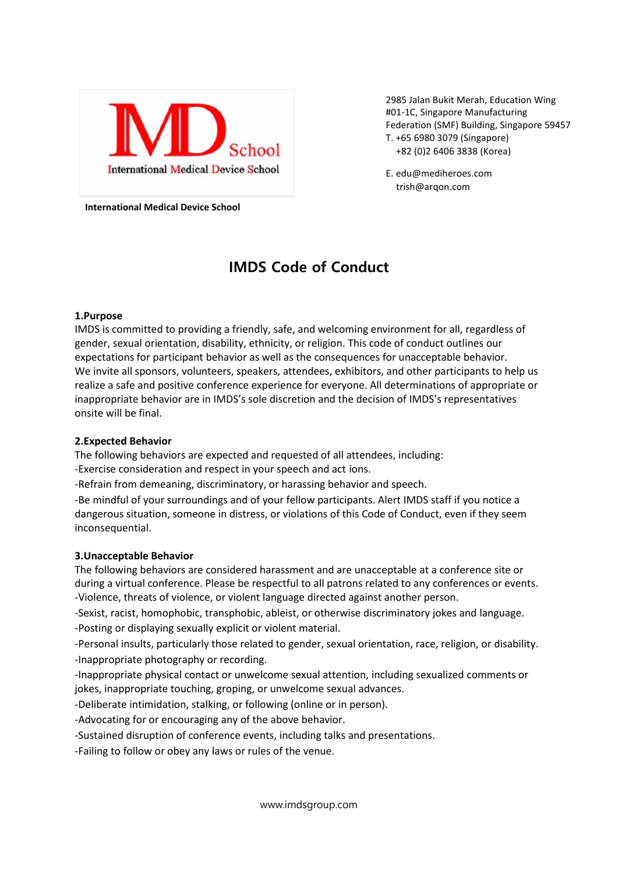

2985 Jalan Bukit Merah, Education Wing #01-1C, Singapore Manufacturing Federation (SMF) Building, Singapore 59457 T. +65 6980 3079 (Singapore) +82 (0)2 6406 3838 (Korea)

E. edu@mediheroes.com trish@arqon.com

**International Medical Device School**

# **IMDS Code of Conduct**

## **1.Purpose**

IMDS is committed to providing a friendly, safe, and welcoming environment for all, regardless of gender, sexual orientation, disability, ethnicity, or religion. This code of conduct outlines our expectations for participant behavior as well as the consequences for unacceptable behavior. We invite all sponsors, volunteers, speakers, attendees, exhibitors, and other participants to help us realize a safe and positive conference experience for everyone. All determinations of appropriate or inappropriate behavior are in IMDS's sole discretion and the decision of IMDS's representatives onsite will be final.

### **2.Expected Behavior**

The following behaviors are expected and requested of all attendees, including: -Exercise consideration and respect in your speech and act ions.

-Refrain from demeaning, discriminatory, or harassing behavior and speech.

-Be mindful of your surroundings and of your fellow participants. Alert IMDS staff if you notice a dangerous situation, someone in distress, or violations of this Code of Conduct, even if they seem inconsequential.

#### **3.Unacceptable Behavior**

The following behaviors are considered harassment and are unacceptable at a conference site or during a virtual conference. Please be respectful to all patrons related to any conferences or events. -Violence, threats of violence, or violent language directed against another person.

-Sexist, racist, homophobic, transphobic, ableist, or otherwise discriminatory jokes and language. -Posting or displaying sexually explicit or violent material.

-Personal insults, particularly those related to gender, sexual orientation, race, religion, or disability. -Inappropriate photography or recording.

-Inappropriate physical contact or unwelcome sexual attention, including sexualized comments or jokes, inappropriate touching, groping, or unwelcome sexual advances.

-Deliberate intimidation, stalking, or following (online or in person).

-Advocating for or encouraging any of the above behavior.

-Sustained disruption of conference events, including talks and presentations.

-Failing to follow or obey any laws or rules of the venue.